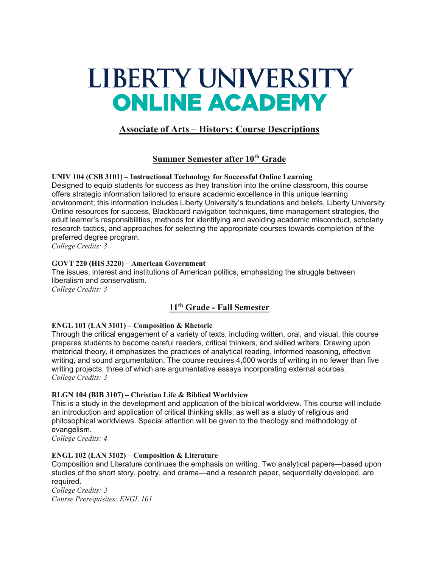# LIBERTY UNIVERSITY **ONLINE ACADEMY**

# **Associate of Arts – History: Course Descriptions**

## **Summer Semester after 10th Grade**

**UNIV 104 (CSB 3101) – Instructional Technology for Successful Online Learning** Designed to equip students for success as they transition into the online classroom, this course offers strategic information tailored to ensure academic excellence in this unique learning environment; this information includes Liberty University's foundations and beliefs, Liberty University Online resources for success, Blackboard navigation techniques, time management strategies, the adult learner's responsibilities, methods for identifying and avoiding academic misconduct, scholarly research tactics, and approaches for selecting the appropriate courses towards completion of the preferred degree program.

*College Credits: 3*

#### **GOVT 220 (HIS 3220) – American Government**

The issues, interest and institutions of American politics, emphasizing the struggle between liberalism and conservatism.

*College Credits: 3*

# **11th Grade - Fall Semester**

#### **ENGL 101 (LAN 3101) – Composition & Rhetoric**

Through the critical engagement of a variety of texts, including written, oral, and visual, this course prepares students to become careful readers, critical thinkers, and skilled writers. Drawing upon rhetorical theory, it emphasizes the practices of analytical reading, informed reasoning, effective writing, and sound argumentation. The course requires 4,000 words of writing in no fewer than five writing projects, three of which are argumentative essays incorporating external sources. *College Credits: 3*

#### **RLGN 104 (BIB 3107) – Christian Life & Biblical Worldview**

This is a study in the development and application of the biblical worldview. This course will include an introduction and application of critical thinking skills, as well as a study of religious and philosophical worldviews. Special attention will be given to the theology and methodology of evangelism.

*College Credits: 4*

#### **ENGL 102 (LAN 3102) – Composition & Literature**

Composition and Literature continues the emphasis on writing. Two analytical papers—based upon studies of the short story, poetry, and drama—and a research paper, sequentially developed, are required.

*College Credits: 3 Course Prerequisites: ENGL 101*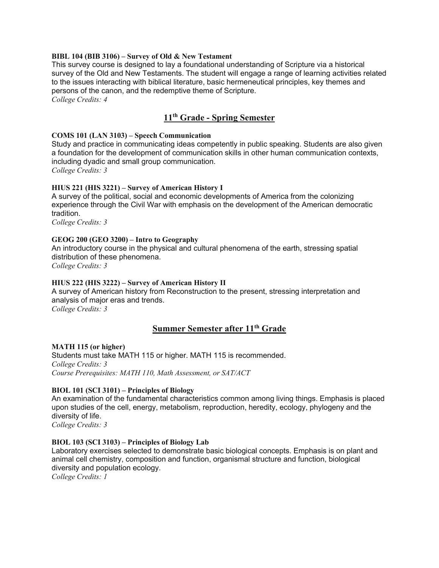#### **BIBL 104 (BIB 3106) – Survey of Old & New Testament**

This survey course is designed to lay a foundational understanding of Scripture via a historical survey of the Old and New Testaments. The student will engage a range of learning activities related to the issues interacting with biblical literature, basic hermeneutical principles, key themes and persons of the canon, and the redemptive theme of Scripture.

*College Credits: 4*

## **11th Grade - Spring Semester**

#### **COMS 101 (LAN 3103) – Speech Communication**

Study and practice in communicating ideas competently in public speaking. Students are also given a foundation for the development of communication skills in other human communication contexts, including dyadic and small group communication. *College Credits: 3*

#### **HIUS 221 (HIS 3221) – Survey of American History I**

A survey of the political, social and economic developments of America from the colonizing experience through the Civil War with emphasis on the development of the American democratic tradition.

*College Credits: 3*

#### **GEOG 200 (GEO 3200) – Intro to Geography**

An introductory course in the physical and cultural phenomena of the earth, stressing spatial distribution of these phenomena.

*College Credits: 3*

#### **HIUS 222 (HIS 3222) – Survey of American History II**

A survey of American history from Reconstruction to the present, stressing interpretation and analysis of major eras and trends.

*College Credits: 3*

#### **Summer Semester after 11th Grade**

#### **MATH 115 (or higher)**

Students must take MATH 115 or higher. MATH 115 is recommended. *College Credits: 3 Course Prerequisites: MATH 110, Math Assessment, or SAT/ACT*

#### **BIOL 101 (SCI 3101) – Principles of Biology**

An examination of the fundamental characteristics common among living things. Emphasis is placed upon studies of the cell, energy, metabolism, reproduction, heredity, ecology, phylogeny and the diversity of life.

*College Credits: 3*

#### **BIOL 103 (SCI 3103) – Principles of Biology Lab**

Laboratory exercises selected to demonstrate basic biological concepts. Emphasis is on plant and animal cell chemistry, composition and function, organismal structure and function, biological diversity and population ecology.

*College Credits: 1*